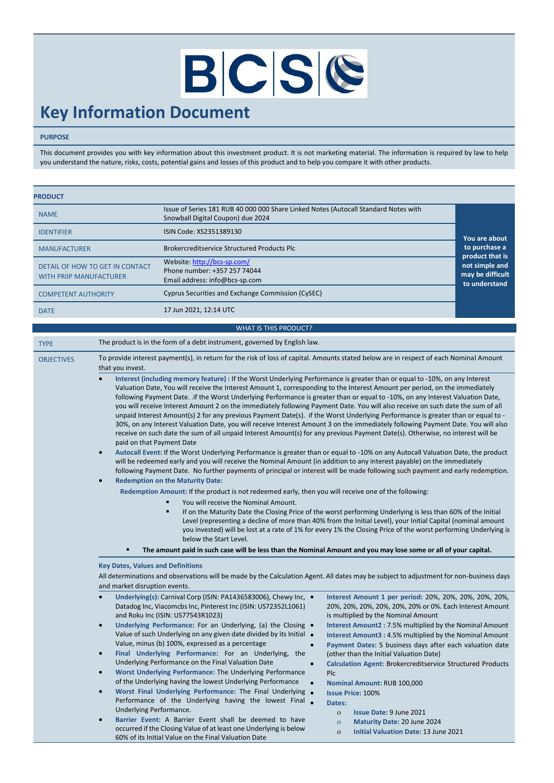# BCSC

## **Key Information Document**

#### **PURPOSE**

This document provides you with key information about this investment product. It is not marketing material. The information is required by law to help you understand the nature, risks, costs, potential gains and losses of this product and to help you compare it with other products.

| <b>PRODUCT</b>                                                    |                                                                                                                          |                                                     |
|-------------------------------------------------------------------|--------------------------------------------------------------------------------------------------------------------------|-----------------------------------------------------|
| <b>NAME</b>                                                       | Issue of Series 181 RUB 40 000 000 Share Linked Notes (Autocall Standard Notes with<br>Snowball Digital Coupon) due 2024 |                                                     |
| <b>IDENTIFIER</b>                                                 | ISIN Code: XS2351389130                                                                                                  | You are about                                       |
| <b>MANUFACTURER</b>                                               | Brokercreditservice Structured Products Plc                                                                              | to purchase a<br>product that is                    |
| DETAIL OF HOW TO GET IN CONTACT<br><b>WITH PRIIP MANUFACTURER</b> | Website: http://bcs-sp.com/<br>Phone number: +357 257 74044<br>Email address: info@bcs-sp.com                            | not simple and<br>may be difficult<br>to understand |
| <b>COMPETENT AUTHORITY</b>                                        | Cyprus Securities and Exchange Commission (CySEC)                                                                        |                                                     |
| <b>DATE</b>                                                       | 17 Jun 2021, 12:14 UTC                                                                                                   |                                                     |

#### TYPE The product is in the form of a debt instrument, governed by English law. OBJECTIVES To provide interest payment(s), in return for the risk of loss of capital. Amounts stated below are in respect of each Nominal Amount that you invest.

WHAT IS THIS PRODUCT?

- **Interest (including memory feature) :** If the Worst Underlying Performance is greater than or equal to -10%, on any Interest Valuation Date, You will receive the Interest Amount 1, corresponding to the Interest Amount per period, on the immediately following Payment Date. .if the Worst Underlying Performance is greater than or equal to -10%, on any Interest Valuation Date, you will receive Interest Amount 2 on the immediately following Payment Date. You will also receive on such date the sum of all unpaid Interest Amount(s) 2 for any previous Payment Date(s). if the Worst Underlying Performance is greater than or equal to - 30%, on any Interest Valuation Date, you will receive Interest Amount 3 on the immediately following Payment Date. You will also receive on such date the sum of all unpaid Interest Amount(s) for any previous Payment Date(s). Otherwise, no interest will be paid on that Payment Date
- **Autocall Event:** If the Worst Underlying Performance is greater than or equal to -10% on any Autocall Valuation Date, the product will be redeemed early and you will receive the Nominal Amount (in addition to any interest payable) on the immediately following Payment Date. No further payments of principal or interest will be made following such payment and early redemption.
- **Redemption on the Maturity Date:**

**Redemption Amount:** If the product is not redeemed early, then you will receive one of the following:

- You will receive the Nominal Amount.
	- If on the Maturity Date the Closing Price of the worst performing Underlying is less than 60% of the Initial Level (representing a decline of more than 40% from the Initial Level), your Initial Capital (nominal amount you invested) will be lost at a rate of 1% for every 1% the Closing Price of the worst performing Underlying is below the Start Level.
- **The amount paid in such case will be less than the Nominal Amount and you may lose some or all of your capital.**

#### **Key Dates, Values and Definitions**

All determinations and observations will be made by the Calculation Agent. All dates may be subject to adjustment for non-business days and market disruption events.

| Underlying(s): Carnival Corp (ISIN: PA1436583006), Chewy Inc. •<br>Datadog Inc, Viacomcbs Inc, Pinterest Inc (ISIN: US72352L1061)<br>and Roku Inc (ISIN: US77543R1023)                                                                                                                                                                                                                                                                                                                                                                                                                                                                       | Interest Amount 1 per period: 20%, 20%, 20%, 20%, 20%,<br>20%, 20%, 20%, 20%, 20%, 20% or 0%. Each Interest Amount<br>is multiplied by the Nominal Amount                                                                                                                                                                                                                                                                                                            |
|----------------------------------------------------------------------------------------------------------------------------------------------------------------------------------------------------------------------------------------------------------------------------------------------------------------------------------------------------------------------------------------------------------------------------------------------------------------------------------------------------------------------------------------------------------------------------------------------------------------------------------------------|----------------------------------------------------------------------------------------------------------------------------------------------------------------------------------------------------------------------------------------------------------------------------------------------------------------------------------------------------------------------------------------------------------------------------------------------------------------------|
| Underlying Performance: For an Underlying, (a) the Closing •<br>Value of such Underlying on any given date divided by its Initial •<br>Value, minus (b) 100%, expressed as a percentage<br>Final Underlying Performance: For an Underlying,<br>the<br>Underlying Performance on the Final Valuation Date<br>Worst Underlying Performance: The Underlying Performance<br>of the Underlying having the lowest Underlying Performance<br>Worst Final Underlying Performance: The Final Underlying<br>Performance of the Underlying having the lowest Final<br>Underlying Performance.<br>Barrier Event: A Barrier Event shall be deemed to have | Interest Amount2: 7.5% multiplied by the Nominal Amount<br>Interest Amount3: 4.5% multiplied by the Nominal Amount<br>Payment Dates: 5 business days after each valuation date<br>(other than the Initial Valuation Date)<br><b>Calculation Agent: Brokercreditservice Structured Products</b><br>Plc.<br><b>Nominal Amount: RUB 100,000</b><br><b>Issue Price: 100%</b><br>Dates:<br>Issue Date: 9 June 2021<br>$\Omega$<br>Maturity Date: 20 June 2024<br>$\Omega$ |
| occurred if the Closing Value of at least one Underlying is below<br>60% of its Initial Value on the Final Valuation Date                                                                                                                                                                                                                                                                                                                                                                                                                                                                                                                    | Initial Valuation Date: 13 June 2021<br>$\Omega$                                                                                                                                                                                                                                                                                                                                                                                                                     |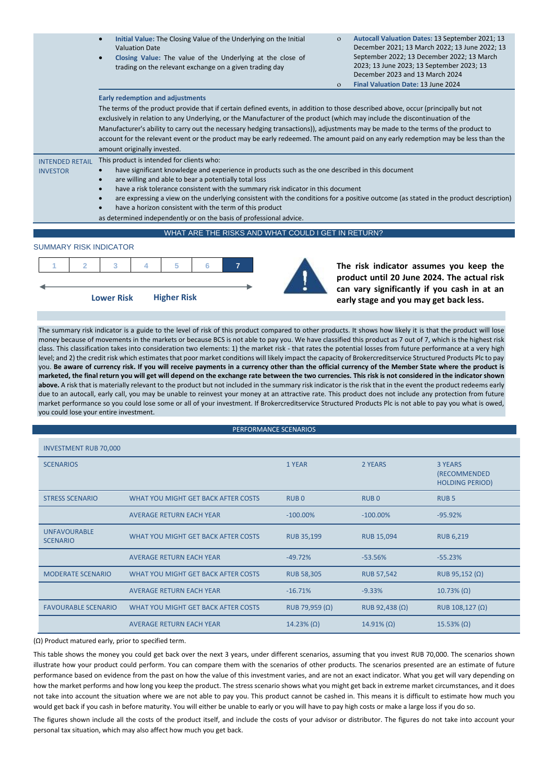|                                           | Initial Value: The Closing Value of the Underlying on the Initial<br>$\bullet$<br><b>Valuation Date</b><br>Closing Value: The value of the Underlying at the close of<br>trading on the relevant exchange on a given trading day                                                                                                                                                                                                                                                                                                                                                   | $\Omega$<br>$\Omega$ | Autocall Valuation Dates: 13 September 2021; 13<br>December 2021; 13 March 2022; 13 June 2022; 13<br>September 2022; 13 December 2022; 13 March<br>2023; 13 June 2023; 13 September 2023; 13<br>December 2023 and 13 March 2024<br>Final Valuation Date: 13 June 2024 |
|-------------------------------------------|------------------------------------------------------------------------------------------------------------------------------------------------------------------------------------------------------------------------------------------------------------------------------------------------------------------------------------------------------------------------------------------------------------------------------------------------------------------------------------------------------------------------------------------------------------------------------------|----------------------|-----------------------------------------------------------------------------------------------------------------------------------------------------------------------------------------------------------------------------------------------------------------------|
|                                           | <b>Early redemption and adjustments</b>                                                                                                                                                                                                                                                                                                                                                                                                                                                                                                                                            |                      |                                                                                                                                                                                                                                                                       |
|                                           | The terms of the product provide that if certain defined events, in addition to those described above, occur (principally but not<br>exclusively in relation to any Underlying, or the Manufacturer of the product (which may include the discontinuation of the                                                                                                                                                                                                                                                                                                                   |                      |                                                                                                                                                                                                                                                                       |
|                                           | Manufacturer's ability to carry out the necessary hedging transactions)), adjustments may be made to the terms of the product to<br>account for the relevant event or the product may be early redeemed. The amount paid on any early redemption may be less than the                                                                                                                                                                                                                                                                                                              |                      |                                                                                                                                                                                                                                                                       |
|                                           | amount originally invested.                                                                                                                                                                                                                                                                                                                                                                                                                                                                                                                                                        |                      |                                                                                                                                                                                                                                                                       |
| <b>INTENDED RETAIL</b><br><b>INVESTOR</b> | This product is intended for clients who:<br>have significant knowledge and experience in products such as the one described in this document<br>are willing and able to bear a potentially total loss<br>$\bullet$<br>have a risk tolerance consistent with the summary risk indicator in this document<br>are expressing a view on the underlying consistent with the conditions for a positive outcome (as stated in the product description)<br>have a horizon consistent with the term of this product<br>as determined independently or on the basis of professional advice. |                      |                                                                                                                                                                                                                                                                       |
|                                           | WHAT ARE THE RISKS AND WHAT COULD I GET IN RETURN?                                                                                                                                                                                                                                                                                                                                                                                                                                                                                                                                 |                      |                                                                                                                                                                                                                                                                       |
|                                           |                                                                                                                                                                                                                                                                                                                                                                                                                                                                                                                                                                                    |                      |                                                                                                                                                                                                                                                                       |

#### SUMMARY RISK INDICATOR



**product until 20 June 2024. The actual risk can vary significantly if you cash in at an early stage and you may get back less.**

The summary risk indicator is a guide to the level of risk of this product compared to other products. It shows how likely it is that the product will lose money because of movements in the markets or because BCS is not able to pay you. We have classified this product as 7 out of 7, which is the highest risk class. This classification takes into consideration two elements: 1) the market risk - that rates the potential losses from future performance at a very high level; and 2) the credit risk which estimates that poor market conditions will likely impact the capacity of Brokercreditservice Structured Products Plc to pay you. **Be aware of currency risk. If you will receive payments in a currency other than the official currency of the Member State where the product is marketed, the final return you will get will depend on the exchange rate between the two currencies. This risk is not considered in the indicator shown above.** A risk that is materially relevant to the product but not included in the summary risk indicator is the risk that in the event the product redeems early due to an autocall, early call, you may be unable to reinvest your money at an attractive rate. This product does not include any protection from future market performance so you could lose some or all of your investment. If Brokercreditservice Structured Products Plc is not able to pay you what is owed, you could lose your entire investment.

| PERFORMANCE SCENARIOS                  |                                     |                       |                       |                                                                 |
|----------------------------------------|-------------------------------------|-----------------------|-----------------------|-----------------------------------------------------------------|
| <b>INVESTMENT RUB 70,000</b>           |                                     |                       |                       |                                                                 |
| <b>SCENARIOS</b>                       |                                     | 1 YEAR                | 2 YEARS               | <b>3 YEARS</b><br><b>(RECOMMENDED</b><br><b>HOLDING PERIOD)</b> |
| <b>STRESS SCENARIO</b>                 | WHAT YOU MIGHT GET BACK AFTER COSTS | RUB <sub>0</sub>      | RUB <sub>0</sub>      | <b>RUB5</b>                                                     |
|                                        | <b>AVERAGE RETURN EACH YEAR</b>     | $-100.00\%$           | $-100.00\%$           | $-95.92%$                                                       |
| <b>UNFAVOURABLE</b><br><b>SCENARIO</b> | WHAT YOU MIGHT GET BACK AFTER COSTS | <b>RUB 35,199</b>     | <b>RUB 15,094</b>     | <b>RUB 6,219</b>                                                |
|                                        | <b>AVERAGE RETURN EACH YEAR</b>     | $-49.72%$             | $-53.56%$             | $-55.23%$                                                       |
| <b>MODERATE SCENARIO</b>               | WHAT YOU MIGHT GET BACK AFTER COSTS | <b>RUB 58,305</b>     | <b>RUB 57,542</b>     | RUB 95,152 $(\Omega)$                                           |
|                                        | <b>AVERAGE RETURN EACH YEAR</b>     | $-16.71%$             | $-9.33%$              | $10.73\% (\Omega)$                                              |
| <b>FAVOURABLE SCENARIO</b>             | WHAT YOU MIGHT GET BACK AFTER COSTS | RUB 79,959 $(\Omega)$ | RUB 92,438 $(\Omega)$ | RUB 108,127 $(\Omega)$                                          |
|                                        | <b>AVERAGE RETURN EACH YEAR</b>     | 14.23% $(\Omega)$     | $14.91\% (\Omega)$    | $15.53\% (\Omega)$                                              |

(Ω) Product matured early, prior to specified term.

This table shows the money you could get back over the next 3 years, under different scenarios, assuming that you invest RUB 70,000. The scenarios shown illustrate how your product could perform. You can compare them with the scenarios of other products. The scenarios presented are an estimate of future performance based on evidence from the past on how the value of this investment varies, and are not an exact indicator. What you get will vary depending on how the market performs and how long you keep the product. The stress scenario shows what you might get back in extreme market circumstances, and it does not take into account the situation where we are not able to pay you. This product cannot be cashed in. This means it is difficult to estimate how much you would get back if you cash in before maturity. You will either be unable to early or you will have to pay high costs or make a large loss if you do so.

The figures shown include all the costs of the product itself, and include the costs of your advisor or distributor. The figures do not take into account your personal tax situation, which may also affect how much you get back.